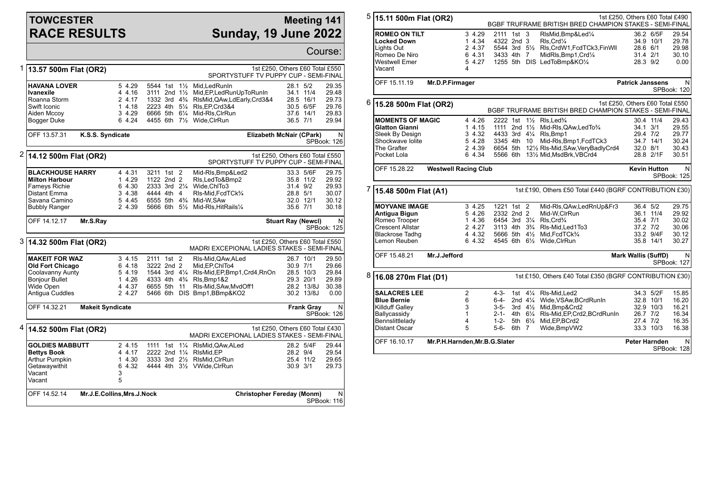## **TOWCESTER RACE RESULTS**

## **Meeting 141 Sunday, 19 June 2022**

|   |                                                                                                                               |                                                                          |                                                                                  |                |                                                                                                                                                                                                |                                  |                                                                 | Course:                                            |
|---|-------------------------------------------------------------------------------------------------------------------------------|--------------------------------------------------------------------------|----------------------------------------------------------------------------------|----------------|------------------------------------------------------------------------------------------------------------------------------------------------------------------------------------------------|----------------------------------|-----------------------------------------------------------------|----------------------------------------------------|
|   | 1 13.57 500m Flat (OR2)                                                                                                       | 1st £250, Others £60 Total £550<br>SPORTYSTUFF TV PUPPY CUP - SEMI-FINAL |                                                                                  |                |                                                                                                                                                                                                |                                  |                                                                 |                                                    |
|   | <b>HAVANA LOVER</b><br>Ivanexile<br>Roanna Storm<br>Swift Iconic<br>Aiden Mccoy<br><b>Bogger Duke</b>                         | 5 4.29<br>4 4.16<br>2 4.17<br>1 4.18<br>3 4.29<br>6 4.24                 | 5544 1st 1½<br>3111 2nd 11/2                                                     |                | Mid, Led Run In<br>Mid, EP, Led Run Up To Run In<br>1332 3rd 43/4 RIsMid, QAw, LdEarly, Crd3&4<br>2223 4th 51/4 RIs, EP, Crd3&4<br>6666 5th 61/4 Mid-RIs, CIrRun<br>4455 6th 71/2 Wide, ClrRun | 28.1<br>36.5 7/1                 | 5/2<br>34.1 11/4<br>28.5 16/1<br>30.5 6/5F<br>37.6 14/1         | 29.35<br>29.48<br>29.73<br>29.76<br>29.83<br>29.94 |
|   | OFF 13.57.31<br>K.S.S. Syndicate                                                                                              |                                                                          |                                                                                  |                | Elizabeth McNair (CPark)                                                                                                                                                                       |                                  |                                                                 | N<br>SPBook: 126                                   |
|   | $2 $ 14.12 500m Flat (OR2)                                                                                                    |                                                                          |                                                                                  |                | 1st £250, Others £60 Total £550<br>SPORTYSTUFF TV PUPPY CUP - SEMI-FINAL                                                                                                                       |                                  |                                                                 |                                                    |
|   | <b>BLACKHOUSE HARRY</b><br><b>Milton Harbour</b><br>Farneys Richie<br>Distant Emma<br>Savana Camino<br><b>Bubbly Ranger</b>   | 4 4.31<br>1 4.29<br>6 4.30<br>3 4.38<br>5 4.45<br>2 4.39                 | 3211 1st 2<br>1122 2nd 2<br>4444 4th 4<br>6555 5th 4 <sup>3</sup> / <sub>4</sub> |                | Mid-RIs, Bmp&Led2<br>Rls,LedTo&Bmp2<br>2333 3rd 21/4 Wide.ChlTo3<br>RIs-Mid.FcdTCk <sup>3</sup> /4<br>Mid-W.SAw<br>5666 6th 51/2 Mid-RIs, HitRails1/4                                          | 31.4 9/2<br>28.8 5/1<br>35.6 7/1 | 33.3 5/6F<br>35.8 11/2<br>32.0 12/1                             | 29.75<br>29.92<br>29.93<br>30.07<br>30.12<br>30.18 |
|   | OFF 14.12.17<br>Mr.S.Ray                                                                                                      |                                                                          |                                                                                  |                |                                                                                                                                                                                                | <b>Stuart Ray (Newcl)</b>        |                                                                 | N<br>SPBook: 125                                   |
| 3 | 14.32 500m Flat (OR2)                                                                                                         |                                                                          |                                                                                  |                | 1st £250, Others £60 Total £550<br>MADRI EXCEPIONAL LADIES STAKES - SEMI-FINAL                                                                                                                 |                                  |                                                                 |                                                    |
|   | <b>MAKEIT FOR WAZ</b><br><b>Old Fort Chicago</b><br>Coolavanny Aunty<br><b>Bonjour Bullet</b><br>Wide Open<br>Antigua Cuddles | 3, 4.15<br>6 4.18<br>5 4.19<br>1 4.26<br>4 4.37<br>2 4.27                | 2111 1st 2<br>3222 2nd 2<br>1544 3rd 41/4<br>6655 5th 11                         |                | RIs-Mid, QAw, ALed<br>Mid.EP.ChlTo4<br>RIs-Mid, EP, Bmp1, Crd4, RnOn<br>4333 4th 4 <sup>3</sup> / <sub>4</sub> Rls, Bmp1&2<br>RIs-Mid, SAw, MydOff1<br>5466 6th DIS Bmp1, BBmp&KO2             | 30.9 7/1                         | 26.7 10/1<br>28.5 10/3<br>29.3 20/1<br>28.2 13/8J<br>30.2 13/8J | 29.50<br>29.66<br>29.84<br>29.89<br>30.38<br>0.00  |
|   | OFF 14.32.21                                                                                                                  | <b>Makeit Syndicate</b><br><b>Frank Gray</b><br>N<br>SPBook: 126         |                                                                                  |                |                                                                                                                                                                                                |                                  |                                                                 |                                                    |
|   | $4 \vert 14.52 \, 500$ m Flat (OR2)                                                                                           |                                                                          |                                                                                  |                | 1st £250, Others £60 Total £430<br>MADRI EXCEPIONAL LADIES STAKES - SEMI-FINAL                                                                                                                 |                                  |                                                                 |                                                    |
|   | <b>GOLDIES MABBUTT</b><br><b>Bettys Book</b><br>Arthur Pumpkin<br>Getawaywithit<br>Vacant<br>Vacant                           | 2 4.15<br>4 4.17<br>1 4.30<br>6 4.32<br>3<br>5                           | 1111<br>1st<br>2222 2nd 11/4 RIsMid, EP<br>3333 3rd 21/2                         | $1\frac{1}{4}$ | RIsMid, QAw, ALed<br>RIsMid.CIrRun<br>4444 4th 31/2 VWide.CIrRun                                                                                                                               | 28.2 9/4<br>30.9 3/1             | 28.2 5/4F<br>25.4 11/2                                          | 29.44<br>29.54<br>29.65<br>29.73                   |
|   | OFF 14.52.14<br>Mr.J.E.Collins, Mrs.J.Nock                                                                                    | <b>Christopher Fereday (Monm)</b>                                        |                                                                                  |                | N<br>SPBook: 116                                                                                                                                                                               |                                  |                                                                 |                                                    |

| 5                         | 15.11 500m Flat (OR2)                                                               |                                   |                                        |                    |                    | BGBF TRUFRAME BRITISH BRED CHAMPION STAKES - SEMI-FINAL | 1st £250, Others £60 Total £490 |           |                                 |  |
|---------------------------|-------------------------------------------------------------------------------------|-----------------------------------|----------------------------------------|--------------------|--------------------|---------------------------------------------------------|---------------------------------|-----------|---------------------------------|--|
|                           | <b>ROMEO ON TILT</b>                                                                | 3 4.29                            | 2111 1st 3                             |                    |                    | RIsMid, Bmp&Led1/4                                      |                                 | 36.2 6/5F | 29.54                           |  |
|                           | <b>Locked Down</b>                                                                  | 1 4.34                            | 4322 2nd 3                             |                    |                    | RIs, Crd1/4                                             |                                 | 34.9 10/1 | 29.78                           |  |
|                           | Lights Out                                                                          | 2 4.37                            | 5544 3rd 51/2                          |                    |                    | RIs, CrdW1, FcdTCk3, FinWll                             | 28.6 6/1                        |           | 29.98                           |  |
|                           | Romeo De Niro                                                                       | 6 4.31                            | 3433 4th 7                             |                    |                    | MidRIs, Bmp1, Crd1/4                                    | 31.4 2/1                        |           | 30.10                           |  |
|                           | <b>Westwell Emer</b>                                                                | 5 4.27                            |                                        |                    |                    | 1255 5th DIS LedToBmp&KO1/4                             | 28.3 9/2                        |           | 0.00                            |  |
|                           | Vacant                                                                              | 4                                 |                                        |                    |                    |                                                         |                                 |           |                                 |  |
|                           | OFF 15.11.19<br>Mr.D.P.Firmager                                                     |                                   | <b>Patrick Janssens</b><br>N           |                    |                    |                                                         |                                 |           |                                 |  |
|                           |                                                                                     |                                   |                                        |                    |                    |                                                         |                                 |           | SPBook: 120                     |  |
| 6                         | 15.28 500m Flat (OR2)<br>BGBF TRUFRAME BRITISH BRED CHAMPION STAKES - SEMI-FINAL    |                                   |                                        |                    |                    |                                                         |                                 |           | 1st £250, Others £60 Total £550 |  |
|                           | <b>MOMENTS OF MAGIC</b>                                                             | 4 4.26                            | 2222 1st                               |                    |                    | $1\frac{1}{2}$ RIs. Led $\frac{3}{4}$                   |                                 | 30.4 11/4 | 29.43                           |  |
|                           | <b>Glatton Gianni</b>                                                               | 14.15                             | 1111 2nd $1\frac{1}{2}$                |                    |                    | Mid-RIs, QAw, Led To 3/4                                | 34.1 3/1                        |           | 29.55                           |  |
|                           | Sleek By Design                                                                     | 3 4.32                            | 4433 3rd 41/4                          |                    |                    | RIs, Bmp1                                               | 29.4 7/2                        |           | 29.77                           |  |
|                           | Shockwave Iolite                                                                    | 5 4.28                            | 3345 4th 10                            |                    |                    | Mid-RIs, Bmp1, FcdTCk3                                  |                                 | 34.7 14/1 | 30.24                           |  |
|                           | The Grafter                                                                         | 2 4.39                            |                                        |                    |                    | 6654 5th 121/2 RIs-Mid, SAw, Very Badly Crd4            | 32.0 8/1                        |           | 30.43                           |  |
|                           | Pocket Lola                                                                         | 6 4.34                            |                                        |                    |                    | 5566 6th 131/2 Mid, MsdBrk, VBCrd4                      |                                 | 28.8 2/1F | 30.51                           |  |
|                           | OFF 15.28.22                                                                        | <b>Westwell Racing Club</b>       |                                        |                    |                    |                                                         | <b>Kevin Hutton</b>             |           | N<br><b>SPBook: 125</b>         |  |
|                           | $7$ 15.48 500m Flat (A1)<br>1st £190, Others £50 Total £440 (BGRF CONTRIBUTION £30) |                                   |                                        |                    |                    |                                                         |                                 |           |                                 |  |
|                           | <b>MOYVANE IMAGE</b>                                                                | 3 4.25                            | 1221 1st 2                             |                    |                    | Mid-RIs, QAw, Led RnUp& Fr3                             | 36.4 5/2                        |           | 29.75                           |  |
|                           | Antigua Bigun                                                                       | 5 4.26                            | 2332 2nd 2                             |                    |                    | Mid-W,CIrRun                                            |                                 | 36.1 11/4 | 29.92                           |  |
|                           | Romeo Trooper                                                                       | 1 4.36                            | 6454 3rd 31/4                          |                    |                    | RIs, Crd <sup>3</sup> / <sub>4</sub>                    | 35.4 7/1                        |           | 30.02                           |  |
|                           | <b>Crescent Allstar</b>                                                             | 2 4.27                            | 3113 4th 3 <sup>3</sup> / <sub>4</sub> |                    |                    | RIs-Mid, Led1To3                                        | 37.2 7/2                        |           | 30.06                           |  |
|                           | <b>Blackrose Tadhq</b>                                                              | 4 4.32                            | 5666 5th 41/2                          |                    |                    | Mid, FcdTCk3/4                                          |                                 | 33.2 9/4F | 30.12                           |  |
|                           | Lemon Reuben                                                                        | 6 4.32                            | 4545 6th 61/2                          |                    |                    | Wide, CIrRun                                            |                                 | 35.8 14/1 | 30.27                           |  |
|                           | OFF 15.48.21<br>Mr.J.Jefford                                                        |                                   | Mark Wallis (SuffD)                    |                    |                    |                                                         |                                 |           | N<br>SPBook: 127                |  |
| 8<br>16.08 270m Flat (D1) |                                                                                     |                                   |                                        |                    |                    | 1st £150, Others £40 Total £350 (BGRF CONTRIBUTION £30) |                                 |           |                                 |  |
|                           | <b>SALACRES LEE</b>                                                                 | $\overline{2}$                    | 4-3-                                   |                    | 1st $4\frac{1}{4}$ | RIs-Mid.Led2                                            |                                 | 34.3 5/2F | 15.85                           |  |
|                           | <b>Blue Bernie</b>                                                                  | 6                                 | 6-4-                                   | 2nd $4\frac{1}{4}$ |                    | Wide, VSAw, BCrdRunIn                                   |                                 | 32.8 10/1 | 16.20                           |  |
|                           | <b>Killduff Galley</b>                                                              | 3                                 | $3-5-$                                 | 3rd $4\frac{1}{2}$ |                    | Mid, Bmp&Crd2                                           |                                 | 32.9 10/3 | 16.21                           |  |
|                           | Ballycassidy                                                                        | $\mathbf{1}$                      | 2-1- 4th $6\frac{1}{4}$                |                    |                    | RIs-Mid, EP, Crd2, BCrdRunIn                            |                                 | 26.7 7/2  | 16.34                           |  |
|                           | Bennslittlelady                                                                     | 4                                 | $1 - 2 -$                              |                    | 5th 6½             | Mid.EP.BCrd2                                            | 27.4 7/2                        |           | 16.35                           |  |
|                           | Distant Oscar                                                                       | 5                                 | 5-6-                                   | 6th 7              |                    | Wide, BmpVW2                                            |                                 | 33.3 10/3 | 16.38                           |  |
|                           | OFF 16.10.17<br>Mr.P.H.Harnden, Mr.B.G.Slater                                       | Peter Harnden<br>N<br>SPBook: 128 |                                        |                    |                    |                                                         |                                 |           |                                 |  |
|                           |                                                                                     |                                   |                                        |                    |                    |                                                         |                                 |           |                                 |  |